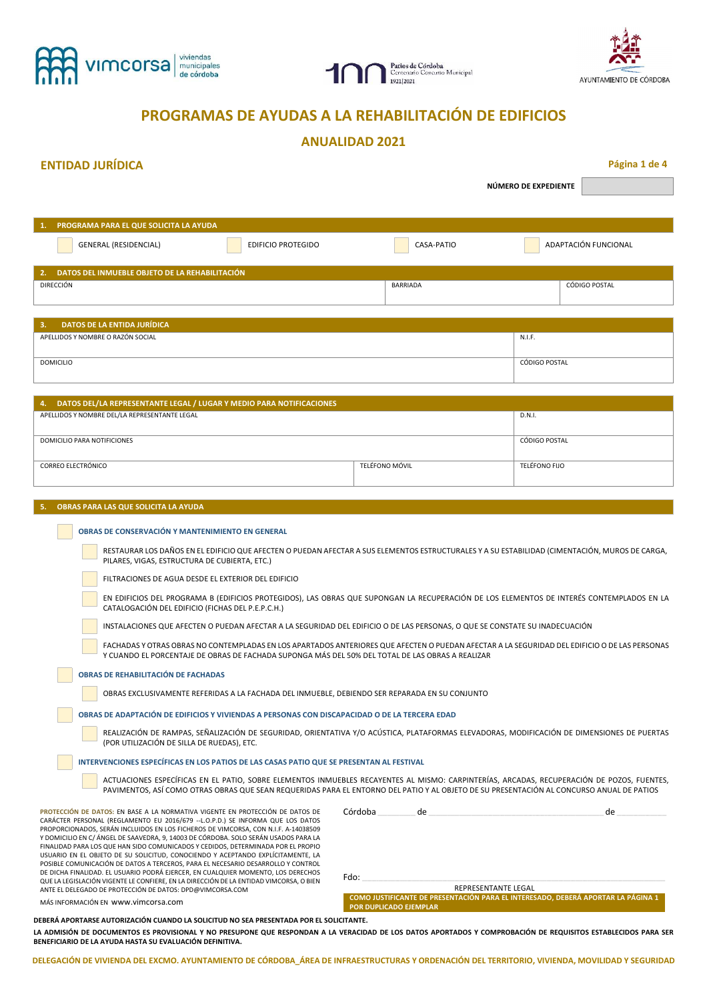





# **PROGRAMAS DE AYUDAS A LA REHABILITACIÓN DE EDIFICIOS**

# **ANUALIDAD 2021**

## **ENTIDAD JURÍDICA Página 1 de 4**

**NÚMERO DE EXPEDIENTE** 

| -1. -     | <b>PROGRAMA PARA EL QUE SOLICITA LA AYUDA</b>  |                           |               |                      |  |
|-----------|------------------------------------------------|---------------------------|---------------|----------------------|--|
|           | GENERAL (RESIDENCIAL)                          | <b>EDIFICIO PROTEGIDO</b> | CASA-PATIO    | ADAPTACIÓN FUNCIONAL |  |
| 2.        | DATOS DEL INMUEBLE OBJETO DE LA REHABILITACIÓN |                           |               |                      |  |
| DIRECCIÓN |                                                | BARRIADA                  | CÓDIGO POSTAL |                      |  |

| <b>DATOS DE LA ENTIDA JURÍDICA</b><br>3. |               |
|------------------------------------------|---------------|
| APELLIDOS Y NOMBRE O RAZÓN SOCIAL        | N.I.F.        |
| DOMICILIO                                | CÓDIGO POSTAL |

| 4. DATOS DEL/LA REPRESENTANTE LEGAL / LUGAR Y MEDIO PARA NOTIFICACIONES |                |               |  |
|-------------------------------------------------------------------------|----------------|---------------|--|
| APELLIDOS Y NOMBRE DEL/LA REPRESENTANTE LEGAL                           | D.N.I.         |               |  |
|                                                                         |                |               |  |
| DOMICILIO PARA NOTIFICIONES                                             | CÓDIGO POSTAL  |               |  |
|                                                                         |                |               |  |
| <b>CORREO ELECTRÓNICO</b>                                               | TFLÉFONO MÓVIL | TELÉFONO FIJO |  |
|                                                                         |                |               |  |

#### **5. OBRAS PARA LAS QUE SOLICITA LA AYUDA**

**College** 

|  | OBRAS DE CONSERVACIÓN Y MANTENIMIENTO EN GENERAL                                                                                                                                                                                                                                        |
|--|-----------------------------------------------------------------------------------------------------------------------------------------------------------------------------------------------------------------------------------------------------------------------------------------|
|  | RESTAURAR LOS DAÑOS EN EL EDIFICIO QUE AFECTEN O PUEDAN AFECTAR A SUS ELEMENTOS ESTRUCTURALES Y A SU ESTABILIDAD (CIMENTACIÓN, MUROS DE CARGA,<br>PILARES, VIGAS, ESTRUCTURA DE CUBIERTA, ETC.)                                                                                         |
|  | FILTRACIONES DE AGUA DESDE EL EXTERIOR DEL EDIFICIO                                                                                                                                                                                                                                     |
|  | EN EDIFICIOS DEL PROGRAMA B (EDIFICIOS PROTEGIDOS), LAS OBRAS QUE SUPONGAN LA RECUPERACIÓN DE LOS ELEMENTOS DE INTERÉS CONTEMPLADOS EN LA<br>CATALOGACIÓN DEL EDIFICIO (FICHAS DEL P.E.P.C.H.)                                                                                          |
|  | INSTALACIONES QUE AFECTEN O PUEDAN AFECTAR A LA SEGURIDAD DEL EDIFICIO O DE LAS PERSONAS, O QUE SE CONSTATE SU INADECUACIÓN                                                                                                                                                             |
|  | FACHADAS Y OTRAS OBRAS NO CONTEMPLADAS EN LOS APARTADOS ANTERIORES QUE AFECTEN O PUEDAN AFECTAR A LA SEGURIDAD DEL EDIFICIO O DE LAS PERSONAS<br>Y CUANDO EL PORCENTAJE DE OBRAS DE FACHADA SUPONGA MÁS DEL 50% DEL TOTAL DE LAS OBRAS A REALIZAR                                       |
|  | <b>OBRAS DE REHABILITACIÓN DE FACHADAS</b>                                                                                                                                                                                                                                              |
|  | OBRAS EXCLUSIVAMENTE REFERIDAS A LA FACHADA DEL INMUEBLE, DEBIENDO SER REPARADA EN SU CONJUNTO                                                                                                                                                                                          |
|  | OBRAS DE ADAPTACIÓN DE EDIFICIOS Y VIVIENDAS A PERSONAS CON DISCAPACIDAD O DE LA TERCERA EDAD                                                                                                                                                                                           |
|  | REALIZACIÓN DE RAMPAS, SEÑALIZACIÓN DE SEGURIDAD, ORIENTATIVA Y/O ACÚSTICA, PLATAFORMAS ELEVADORAS, MODIFICACIÓN DE DIMENSIONES DE PUERTAS<br>(POR UTILIZACIÓN DE SILLA DE RUEDAS), ETC.                                                                                                |
|  | INTERVENCIONES ESPECÍFICAS EN LOS PATIOS DE LAS CASAS PATIO QUE SE PRESENTAN AL FESTIVAL                                                                                                                                                                                                |
|  | ACTUACIONES ESPECÍFICAS EN EL PATIO, SOBRE ELEMENTOS INMUEBLES RECAYENTES AL MISMO: CARPINTERÍAS, ARCADAS, RECUPERACIÓN DE POZOS, FUENTES,<br>PAVIMENTOS, ASÍ COMO OTRAS OBRAS QUE SEAN REQUERIDAS PARA EL ENTORNO DEL PATIO Y AL OBJETO DE SU PRESENTACIÓN AL CONCURSO ANUAL DE PATIOS |
|  |                                                                                                                                                                                                                                                                                         |

**PROTECCIÓN DE DATOS:** EN BASE A LA NORMATIVA VIGENTE EN PROTECCIÓN DE DATOS DE CARÁCTER PERSONAL (REGLAMENTO EU 2016/679 --L.O.P.D.) SE INFORMA QUE LOS DATOS PROPORCIONADOS, SERÁN INCLUIDOS EN LOS FICHEROS DE VIMCORSA, CON N.I.F. A-14038509 Y DOMICILIO EN C/ ÁNGEL DE SAAVEDRA, 9, 14003 DE CÓRDOBA. SOLO SERÁN USADOS PARA LA FINALIDAD PARA LOS QUE HAN SIDO COMUNICADOS Y CEDIDOS, DETERMINADA POR EL PROPIO USUARIO EN EL OBJETO DE SU SOLICITUD, CONOCIENDO Y ACEPTANDO EXPLÍCITAMENTE, LA POSIBLE COMUNICACIÓN DE DATOS A TERCEROS, PARA EL NECESARIO DESARROLLO Y CONTROL DE DICHA FINALIDAD. EL USUARIO PODRÁ EJERCER, EN CUALQUIER MOMENTO, LOS DERECHOS<br>QUE LA LEGISLACIÓN VIGENTE LE CONFIERE, EN LA DIRECCIÓN DE LA ENTIDAD VIMCORSA, O BIEN ANTE EL DELEGADO DE PROTECCIÓN DE DATOS: DPD@VIMCORSA.COM

| Fdo:                                                                             |
|----------------------------------------------------------------------------------|
| REPRESENTANTE LEGAL                                                              |
| COMO JUSTIFICANTE DE PRESENTACIÓN PARA EL INTERESADO, DEBERÁ APORTAR LA PÁGINA 1 |

Córdoba \_\_\_\_\_\_\_\_\_\_\_\_\_\_\_\_ de \_\_\_\_\_\_\_\_\_\_\_\_\_\_\_\_\_\_\_\_\_\_\_\_\_\_\_\_\_\_\_\_\_\_\_\_\_\_\_\_\_\_\_\_\_\_\_\_\_\_\_\_\_\_\_\_\_\_\_\_\_\_\_\_\_\_\_\_\_\_\_\_\_\_ de \_\_\_\_\_\_\_\_\_\_\_\_\_\_\_\_\_\_\_\_\_

MÁS INFORMACIÓN EN www.vimcorsa.com

**DEBERÁ APORTARSE AUTORIZACIÓN CUANDO LA SOLICITUD NO SEA PRESENTADA POR EL SOLICITANTE. LA ADMISIÓN DE DOCUMENTOS ES PROVISIONAL Y NO PRESUPONE QUE RESPONDAN A LA VERACIDAD DE LOS DATOS APORTADOS Y COMPROBACIÓN DE REQUISITOS ESTABLECIDOS PARA SER BENEFICIARIO DE LA AYUDA HASTA SU EVALUACIÓN DEFINITIVA.** 

**POR DUPLICADO EJEMPLAR**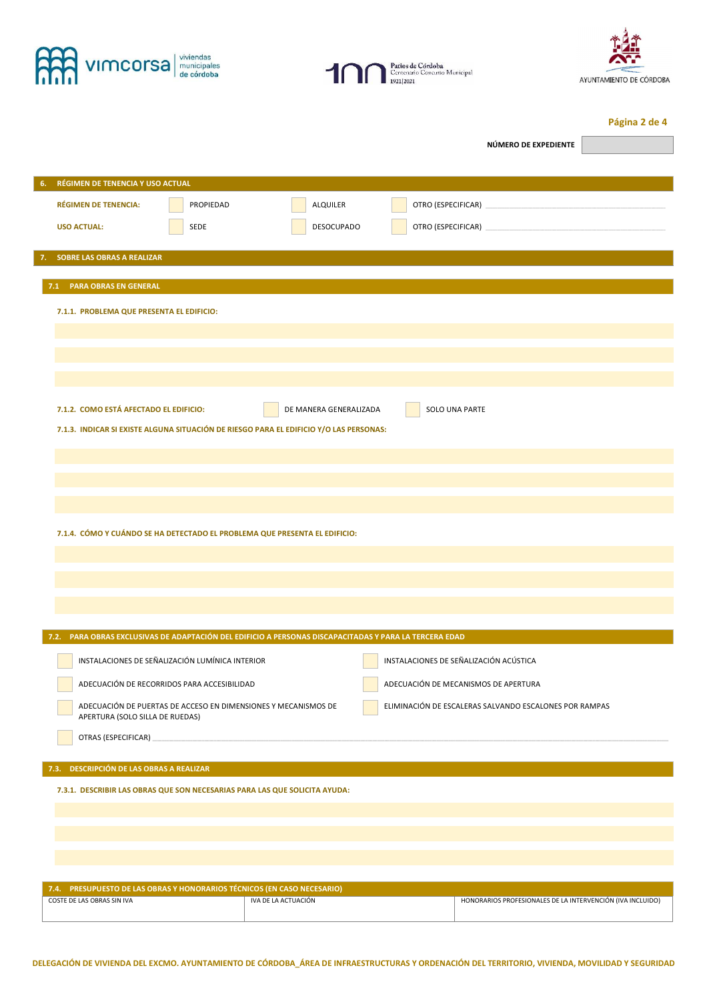





**Página 2 de 4** 

|                                                                                                        |           |                                                                |  | NÚMERO DE EXPEDIENTE                                       |  |  |
|--------------------------------------------------------------------------------------------------------|-----------|----------------------------------------------------------------|--|------------------------------------------------------------|--|--|
|                                                                                                        |           |                                                                |  |                                                            |  |  |
| RÉGIMEN DE TENENCIA Y USO ACTUAL<br>6.                                                                 |           |                                                                |  |                                                            |  |  |
| <b>RÉGIMEN DE TENENCIA:</b>                                                                            | PROPIEDAD | <b>ALQUILER</b>                                                |  |                                                            |  |  |
| <b>USO ACTUAL:</b>                                                                                     | SEDE      | DESOCUPADO                                                     |  |                                                            |  |  |
| <b>SOBRE LAS OBRAS A REALIZAR</b>                                                                      |           |                                                                |  |                                                            |  |  |
| 7.                                                                                                     |           |                                                                |  |                                                            |  |  |
| 7.1 PARA OBRAS EN GENERAL                                                                              |           |                                                                |  |                                                            |  |  |
| 7.1.1. PROBLEMA QUE PRESENTA EL EDIFICIO:                                                              |           |                                                                |  |                                                            |  |  |
|                                                                                                        |           |                                                                |  |                                                            |  |  |
|                                                                                                        |           |                                                                |  |                                                            |  |  |
|                                                                                                        |           |                                                                |  |                                                            |  |  |
|                                                                                                        |           |                                                                |  |                                                            |  |  |
| 7.1.2. COMO ESTÁ AFECTADO EL EDIFICIO:                                                                 |           | DE MANERA GENERALIZADA                                         |  | SOLO UNA PARTE                                             |  |  |
| 7.1.3. INDICAR SI EXISTE ALGUNA SITUACIÓN DE RIESGO PARA EL EDIFICIO Y/O LAS PERSONAS:                 |           |                                                                |  |                                                            |  |  |
|                                                                                                        |           |                                                                |  |                                                            |  |  |
|                                                                                                        |           |                                                                |  |                                                            |  |  |
|                                                                                                        |           |                                                                |  |                                                            |  |  |
|                                                                                                        |           |                                                                |  |                                                            |  |  |
| 7.1.4. CÓMO Y CUÁNDO SE HA DETECTADO EL PROBLEMA QUE PRESENTA EL EDIFICIO:                             |           |                                                                |  |                                                            |  |  |
|                                                                                                        |           |                                                                |  |                                                            |  |  |
|                                                                                                        |           |                                                                |  |                                                            |  |  |
|                                                                                                        |           |                                                                |  |                                                            |  |  |
|                                                                                                        |           |                                                                |  |                                                            |  |  |
| 7.2. PARA OBRAS EXCLUSIVAS DE ADAPTACIÓN DEL EDIFICIO A PERSONAS DISCAPACITADAS Y PARA LA TERCERA EDAD |           |                                                                |  |                                                            |  |  |
| INSTALACIONES DE SEÑALIZACIÓN LUMÍNICA INTERIOR                                                        |           |                                                                |  | INSTALACIONES DE SEÑALIZACIÓN ACÚSTICA                     |  |  |
| ADECUACIÓN DE RECORRIDOS PARA ACCESIBILIDAD                                                            |           |                                                                |  | ADECUACIÓN DE MECANISMOS DE APERTURA                       |  |  |
| APERTURA (SOLO SILLA DE RUEDAS)                                                                        |           | ADECUACIÓN DE PUERTAS DE ACCESO EN DIMENSIONES Y MECANISMOS DE |  | ELIMINACIÓN DE ESCALERAS SALVANDO ESCALONES POR RAMPAS     |  |  |
| OTRAS (ESPECIFICAR)                                                                                    |           |                                                                |  |                                                            |  |  |
|                                                                                                        |           |                                                                |  |                                                            |  |  |
| 7.3. DESCRIPCIÓN DE LAS OBRAS A REALIZAR                                                               |           |                                                                |  |                                                            |  |  |
| 7.3.1. DESCRIBIR LAS OBRAS QUE SON NECESARIAS PARA LAS QUE SOLICITA AYUDA:                             |           |                                                                |  |                                                            |  |  |
|                                                                                                        |           |                                                                |  |                                                            |  |  |
|                                                                                                        |           |                                                                |  |                                                            |  |  |
|                                                                                                        |           |                                                                |  |                                                            |  |  |
| 7.4. PRESUPUESTO DE LAS OBRAS Y HONORARIOS TÉCNICOS (EN CASO NECESARIO)                                |           |                                                                |  |                                                            |  |  |
| COSTE DE LAS OBRAS SIN IVA                                                                             |           | IVA DE LA ACTUACIÓN                                            |  | HONORARIOS PROFESIONALES DE LA INTERVENCIÓN (IVA INCLUIDO) |  |  |
|                                                                                                        |           |                                                                |  |                                                            |  |  |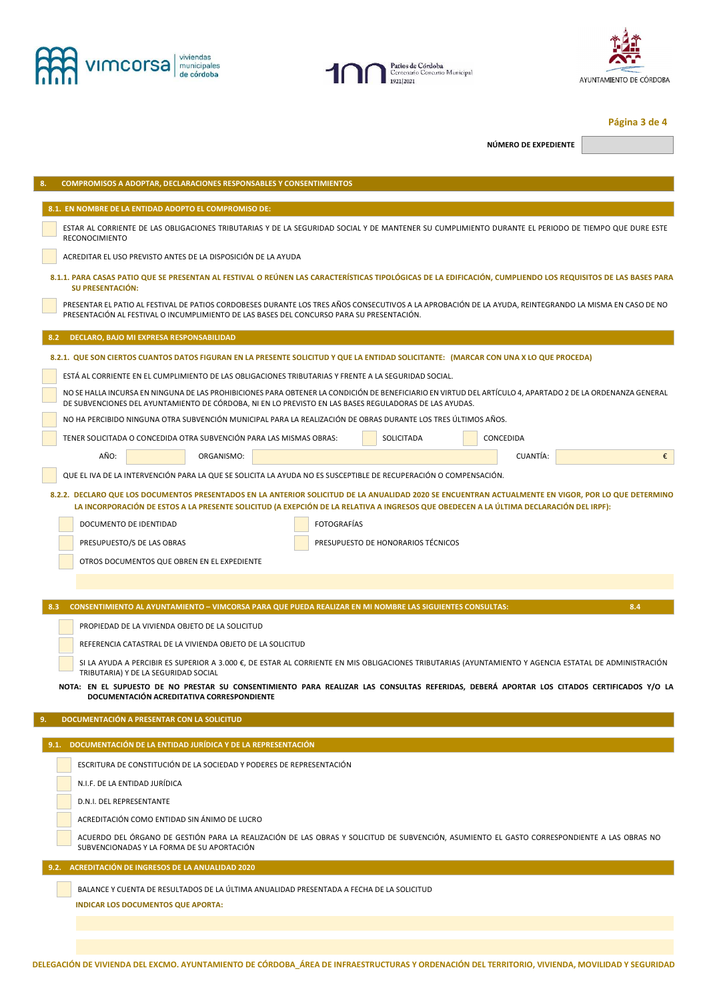





### **Página 3 de 4**

**NÚMERO DE EXPEDIENTE** 

| 8.<br><b>COMPROMISOS A ADOPTAR, DECLARACIONES RESPONSABLES Y CONSENTIMIENTOS</b>                                                                                                                                                                                                                |  |  |  |  |  |  |
|-------------------------------------------------------------------------------------------------------------------------------------------------------------------------------------------------------------------------------------------------------------------------------------------------|--|--|--|--|--|--|
| 8.1. EN NOMBRE DE LA ENTIDAD ADOPTO EL COMPROMISO DE:                                                                                                                                                                                                                                           |  |  |  |  |  |  |
| ESTAR AL CORRIENTE DE LAS OBLIGACIONES TRIBUTARIAS Y DE LA SEGURIDAD SOCIAL Y DE MANTENER SU CUMPLIMIENTO DURANTE EL PERIODO DE TIEMPO QUE DURE ESTE<br><b>RECONOCIMIENTO</b>                                                                                                                   |  |  |  |  |  |  |
| ACREDITAR EL USO PREVISTO ANTES DE LA DISPOSICIÓN DE LA AYUDA                                                                                                                                                                                                                                   |  |  |  |  |  |  |
| 8.1.1. PARA CASAS PATIO QUE SE PRESENTAN AL FESTIVAL O REÚNEN LAS CARACTERÍSTICAS TIPOLÓGICAS DE LA EDIFICACIÓN, CUMPLIENDO LOS REQUISITOS DE LAS BASES PARA<br><b>SU PRESENTACIÓN:</b>                                                                                                         |  |  |  |  |  |  |
| PRESENTAR EL PATIO AL FESTIVAL DE PATIOS CORDOBESES DURANTE LOS TRES AÑOS CONSECUTIVOS A LA APROBACIÓN DE LA AYUDA, REINTEGRANDO LA MISMA EN CASO DE NO<br>PRESENTACIÓN AL FESTIVAL O INCUMPLIMIENTO DE LAS BASES DEL CONCURSO PARA SU PRESENTACIÓN.                                            |  |  |  |  |  |  |
| DECLARO, BAJO MI EXPRESA RESPONSABILIDAD<br>8.2                                                                                                                                                                                                                                                 |  |  |  |  |  |  |
| 8.2.1. QUE SON CIERTOS CUANTOS DATOS FIGURAN EN LA PRESENTE SOLICITUD Y QUE LA ENTIDAD SOLICITANTE: (MARCAR CON UNA X LO QUE PROCEDA)                                                                                                                                                           |  |  |  |  |  |  |
| ESTÁ AL CORRIENTE EN EL CUMPLIMIENTO DE LAS OBLIGACIONES TRIBUTARIAS Y FRENTE A LA SEGURIDAD SOCIAL.                                                                                                                                                                                            |  |  |  |  |  |  |
| NO SE HALLA INCURSA EN NINGUNA DE LAS PROHIBICIONES PARA OBTENER LA CONDICIÓN DE BENEFICIARIO EN VIRTUD DEL ARTÍCULO 4, APARTADO 2 DE LA ORDENANZA GENERAL<br>DE SUBVENCIONES DEL AYUNTAMIENTO DE CÓRDOBA, NI EN LO PREVISTO EN LAS BASES REGULADORAS DE LAS AYUDAS.                            |  |  |  |  |  |  |
| NO HA PERCIBIDO NINGUNA OTRA SUBVENCIÓN MUNICIPAL PARA LA REALIZACIÓN DE OBRAS DURANTE LOS TRES ÚLTIMOS AÑOS.                                                                                                                                                                                   |  |  |  |  |  |  |
| TENER SOLICITADA O CONCEDIDA OTRA SUBVENCIÓN PARA LAS MISMAS OBRAS:<br>SOLICITADA<br>CONCEDIDA                                                                                                                                                                                                  |  |  |  |  |  |  |
| AÑO:<br>€<br>ORGANISMO:<br>CUANTÍA:                                                                                                                                                                                                                                                             |  |  |  |  |  |  |
| QUE EL IVA DE LA INTERVENCIÓN PARA LA QUE SE SOLICITA LA AYUDA NO ES SUSCEPTIBLE DE RECUPERACIÓN O COMPENSACIÓN.                                                                                                                                                                                |  |  |  |  |  |  |
| 8.2.2. DECLARO QUE LOS DOCUMENTOS PRESENTADOS EN LA ANTERIOR SOLICITUD DE LA ANUALIDAD 2020 SE ENCUENTRAN ACTUALMENTE EN VIGOR, POR LO QUE DETERMINO<br>LA INCORPORACIÓN DE ESTOS A LA PRESENTE SOLICITUD (A EXEPCIÓN DE LA RELATIVA A INGRESOS QUE OBEDECEN A LA ÚLTIMA DECLARACIÓN DEL IRPF): |  |  |  |  |  |  |
| DOCUMENTO DE IDENTIDAD<br><b>FOTOGRAFÍAS</b>                                                                                                                                                                                                                                                    |  |  |  |  |  |  |
| PRESUPUESTO DE HONORARIOS TÉCNICOS<br>PRESUPUESTO/S DE LAS OBRAS                                                                                                                                                                                                                                |  |  |  |  |  |  |
| OTROS DOCUMENTOS QUE OBREN EN EL EXPEDIENTE                                                                                                                                                                                                                                                     |  |  |  |  |  |  |
|                                                                                                                                                                                                                                                                                                 |  |  |  |  |  |  |
| 8.3<br>CONSENTIMIENTO AL AYUNTAMIENTO - VIMCORSA PARA QUE PUEDA REALIZAR EN MI NOMBRE LAS SIGUIENTES CONSULTAS:<br>8.4                                                                                                                                                                          |  |  |  |  |  |  |
| PROPIEDAD DE LA VIVIENDA OBJETO DE LA SOLICITUD                                                                                                                                                                                                                                                 |  |  |  |  |  |  |
| REFERENCIA CATASTRAL DE LA VIVIENDA OBJETO DE LA SOLICITUD                                                                                                                                                                                                                                      |  |  |  |  |  |  |
| SI LA AYUDA A PERCIBIR ES SUPERIOR A 3.000 €, DE ESTAR AL CORRIENTE EN MIS OBLIGACIONES TRIBUTARIAS (AYUNTAMIENTO Y AGENCIA ESTATAL DE ADMINISTRACIÓN                                                                                                                                           |  |  |  |  |  |  |
| TRIBUTARIA) Y DE LA SEGURIDAD SOCIAL<br>NOTA: EN EL SUPUESTO DE NO PRESTAR SU CONSENTIMIENTO PARA REALIZAR LAS CONSULTAS REFERIDAS, DEBERÁ APORTAR LOS CITADOS CERTIFICADOS Y/O LA                                                                                                              |  |  |  |  |  |  |
| DOCUMENTACIÓN ACREDITATIVA CORRESPONDIENTE                                                                                                                                                                                                                                                      |  |  |  |  |  |  |
| 9.<br>DOCUMENTACIÓN A PRESENTAR CON LA SOLICITUD                                                                                                                                                                                                                                                |  |  |  |  |  |  |
| 9.1. DOCUMENTACIÓN DE LA ENTIDAD JURÍDICA Y DE LA REPRESENTACIÓN                                                                                                                                                                                                                                |  |  |  |  |  |  |
|                                                                                                                                                                                                                                                                                                 |  |  |  |  |  |  |
|                                                                                                                                                                                                                                                                                                 |  |  |  |  |  |  |
| ESCRITURA DE CONSTITUCIÓN DE LA SOCIEDAD Y PODERES DE REPRESENTACIÓN                                                                                                                                                                                                                            |  |  |  |  |  |  |
| N.I.F. DE LA ENTIDAD JURÍDICA                                                                                                                                                                                                                                                                   |  |  |  |  |  |  |
| D.N.I. DEL REPRESENTANTE                                                                                                                                                                                                                                                                        |  |  |  |  |  |  |
| ACREDITACIÓN COMO ENTIDAD SIN ÁNIMO DE LUCRO<br>ACUERDO DEL ÓRGANO DE GESTIÓN PARA LA REALIZACIÓN DE LAS OBRAS Y SOLICITUD DE SUBVENCIÓN, ASUMIENTO EL GASTO CORRESPONDIENTE A LAS OBRAS NO                                                                                                     |  |  |  |  |  |  |
| SUBVENCIONADAS Y LA FORMA DE SU APORTACIÓN                                                                                                                                                                                                                                                      |  |  |  |  |  |  |
| 9.2. ACREDITACIÓN DE INGRESOS DE LA ANUALIDAD 2020                                                                                                                                                                                                                                              |  |  |  |  |  |  |
| BALANCE Y CUENTA DE RESULTADOS DE LA ÚLTIMA ANUALIDAD PRESENTADA A FECHA DE LA SOLICITUD                                                                                                                                                                                                        |  |  |  |  |  |  |
| <b>INDICAR LOS DOCUMENTOS QUE APORTA:</b>                                                                                                                                                                                                                                                       |  |  |  |  |  |  |
|                                                                                                                                                                                                                                                                                                 |  |  |  |  |  |  |